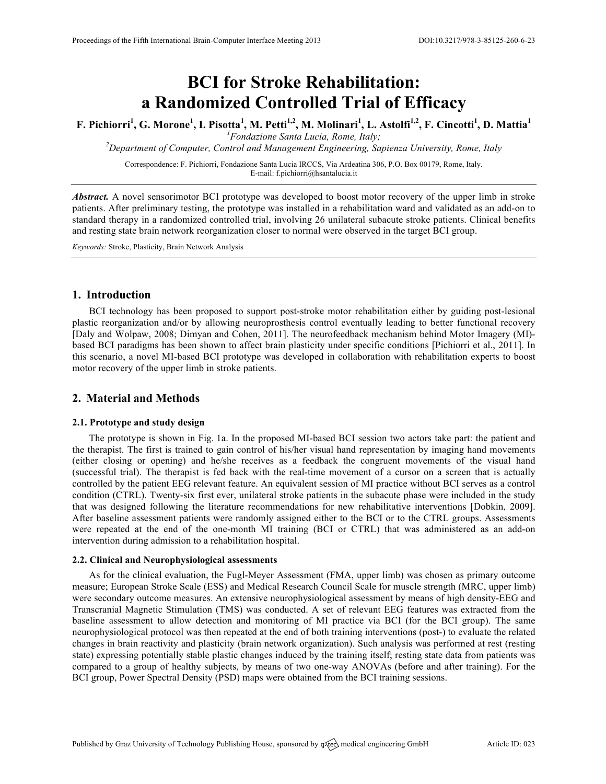# **BCI for Stroke Rehabilitation: a Randomized Controlled Trial of Efficacy**

**F. Pichiorri<sup>1</sup> , G. Morone<sup>1</sup> , I. Pisotta<sup>1</sup> , M. Petti1,2, M. Molinari1 , L. Astolfi1,2, F. Cincotti1 , D. Mattia<sup>1</sup>** <sup>1</sup>Fondazione Santa Lucia, Rome, Italy;

*Fondazione Santa Lucia, Rome, Italy; 2 Department of Computer, Control and Management Engineering, Sapienza University, Rome, Italy*

Correspondence: F. Pichiorri, Fondazione Santa Lucia IRCCS, Via Ardeatina 306, P.O. Box 00179, Rome, Italy. E-mail: f.pichiorri@hsantalucia.it

*Abstract.* A novel sensorimotor BCI prototype was developed to boost motor recovery of the upper limb in stroke patients. After preliminary testing, the prototype was installed in a rehabilitation ward and validated as an add-on to standard therapy in a randomized controlled trial, involving 26 unilateral subacute stroke patients. Clinical benefits and resting state brain network reorganization closer to normal were observed in the target BCI group.

*Keywords:* Stroke, Plasticity, Brain Network Analysis

## **1. Introduction**

BCI technology has been proposed to support post-stroke motor rehabilitation either by guiding post-lesional plastic reorganization and/or by allowing neuroprosthesis control eventually leading to better functional recovery [Daly and Wolpaw, 2008; Dimyan and Cohen, 2011]. The neurofeedback mechanism behind Motor Imagery (MI) based BCI paradigms has been shown to affect brain plasticity under specific conditions [Pichiorri et al., 2011]. In this scenario, a novel MI-based BCI prototype was developed in collaboration with rehabilitation experts to boost motor recovery of the upper limb in stroke patients.

# **2. Material and Methods**

#### **2.1. Prototype and study design**

The prototype is shown in Fig. 1a. In the proposed MI-based BCI session two actors take part: the patient and the therapist. The first is trained to gain control of his/her visual hand representation by imaging hand movements (either closing or opening) and he/she receives as a feedback the congruent movements of the visual hand (successful trial). The therapist is fed back with the real-time movement of a cursor on a screen that is actually controlled by the patient EEG relevant feature. An equivalent session of MI practice without BCI serves as a control condition (CTRL). Twenty-six first ever, unilateral stroke patients in the subacute phase were included in the study that was designed following the literature recommendations for new rehabilitative interventions [Dobkin, 2009]. After baseline assessment patients were randomly assigned either to the BCI or to the CTRL groups. Assessments were repeated at the end of the one-month MI training (BCI or CTRL) that was administered as an add-on intervention during admission to a rehabilitation hospital.

## **2.2. Clinical and Neurophysiological assessments**

As for the clinical evaluation, the Fugl-Meyer Assessment (FMA, upper limb) was chosen as primary outcome measure; European Stroke Scale (ESS) and Medical Research Council Scale for muscle strength (MRC, upper limb) were secondary outcome measures. An extensive neurophysiological assessment by means of high density-EEG and Transcranial Magnetic Stimulation (TMS) was conducted. A set of relevant EEG features was extracted from the baseline assessment to allow detection and monitoring of MI practice via BCI (for the BCI group). The same neurophysiological protocol was then repeated at the end of both training interventions (post-) to evaluate the related changes in brain reactivity and plasticity (brain network organization). Such analysis was performed at rest (resting state) expressing potentially stable plastic changes induced by the training itself; resting state data from patients was compared to a group of healthy subjects, by means of two one-way ANOVAs (before and after training). For the BCI group, Power Spectral Density (PSD) maps were obtained from the BCI training sessions.